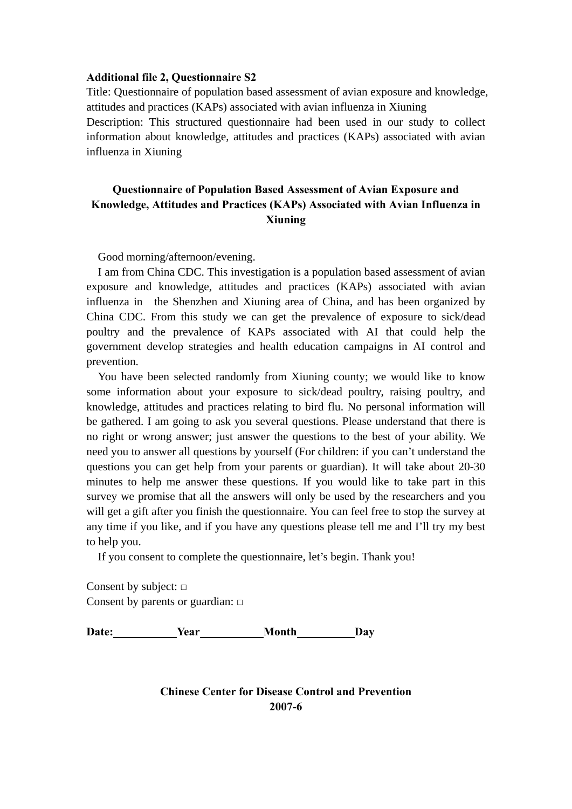#### **Additional file 2, Questionnaire S2**

Title: Questionnaire of population based assessment of avian exposure and knowledge, attitudes and practices (KAPs) associated with avian influenza in Xiuning Description: This structured questionnaire had been used in our study to collect information about knowledge, attitudes and practices (KAPs) associated with avian influenza in Xiuning

# **Questionnaire of Population Based Assessment of Avian Exposure and Knowledge, Attitudes and Practices (KAPs) Associated with Avian Influenza in Xiuning**

Good morning/afternoon/evening.

I am from China CDC. This investigation is a population based assessment of avian exposure and knowledge, attitudes and practices (KAPs) associated with avian influenza in the Shenzhen and Xiuning area of China, and has been organized by China CDC. From this study we can get the prevalence of exposure to sick/dead poultry and the prevalence of KAPs associated with AI that could help the government develop strategies and health education campaigns in AI control and prevention.

You have been selected randomly from Xiuning county; we would like to know some information about your exposure to sick/dead poultry, raising poultry, and knowledge, attitudes and practices relating to bird flu. No personal information will be gathered. I am going to ask you several questions. Please understand that there is no right or wrong answer; just answer the questions to the best of your ability. We need you to answer all questions by yourself (For children: if you can't understand the questions you can get help from your parents or guardian). It will take about 20-30 minutes to help me answer these questions. If you would like to take part in this survey we promise that all the answers will only be used by the researchers and you will get a gift after you finish the questionnaire. You can feel free to stop the survey at any time if you like, and if you have any questions please tell me and I'll try my best to help you.

If you consent to complete the questionnaire, let's begin. Thank you!

Consent by subject: **□** Consent by parents or guardian: **□**

Date: **Year** Month Day

**Chinese Center for Disease Control and Prevention 2007-6**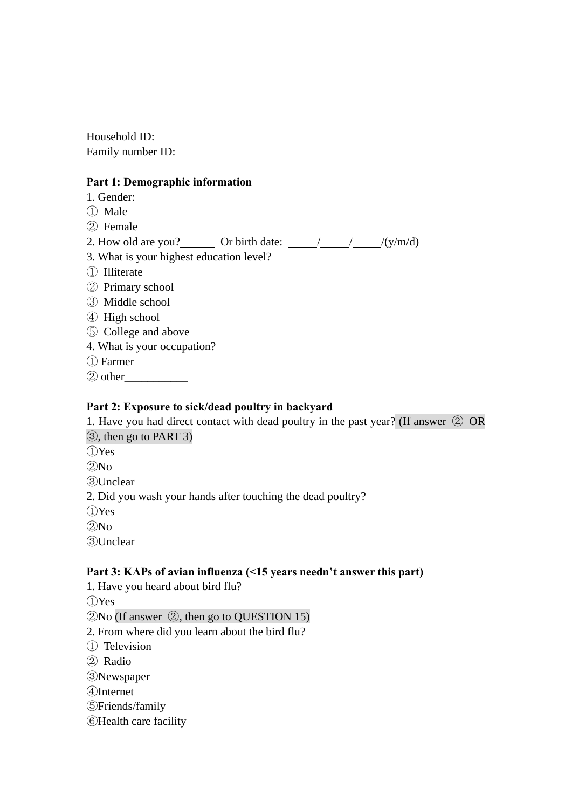Household ID: Family number ID:

## **Part 1: Demographic information**

- 1. Gender:
- ① Male
- ② Female
- 2. How old are you? \_\_\_\_\_\_\_ Or birth date:  $\frac{1}{\sqrt{y/m/d}}$
- 3. What is your highest education level?
- ① Illiterate
- ② Primary school
- ③ Middle school
- ④ High school
- ⑤ College and above
- 4. What is your occupation?
- ① Farmer
- $(2)$  other

## **Part 2: Exposure to sick/dead poultry in backyard**

1. Have you had direct contact with dead poultry in the past year? (If answer ② OR ③, then go to PART 3)

- ①Yes
- $(2)$ No

③Unclear

2. Did you wash your hands after touching the dead poultry?

①Yes

 $(2)$ No

③Unclear

## **Part 3: KAPs of avian influenza (<15 years needn't answer this part)**

1. Have you heard about bird flu?

①Yes

②No (If answer ②, then go to QUESTION 15)

2. From where did you learn about the bird flu?

① Television

② Radio

③Newspaper

- ④Internet
- ⑤Friends/family
- ⑥Health care facility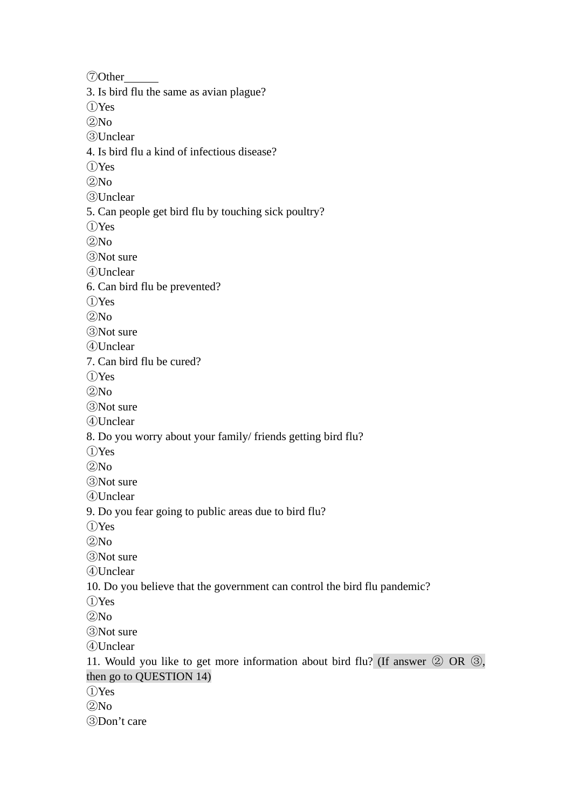Other 3. Is bird flu the same as avian plague? Yes  $(2)$ No Unclear 4. Is bird flu a kind of infectious disease? Yes No Unclear 5. Can people get bird flu by touching sick poultry? Yes  $(2)$ No Not sure Unclear 6. Can bird flu be prevented? Yes  $(2)$ No Not sure Unclear 7. Can bird flu be cured? Yes  $(2)$ No Not sure Unclear 8. Do you worry about your family/ friends getting bird flu? Yes  $(2)$ No Not sure Unclear 9. Do you fear going to public areas due to bird flu? Yes No Not sure Unclear 10. Do you believe that the government can control the bird flu pandemic? Yes  $(2)$ No Not sure Unclear 11. Would you like to get more information about bird flu? (If answer ② OR ③, then go to QUESTION 14) Yes  $(2)$ No Don't care